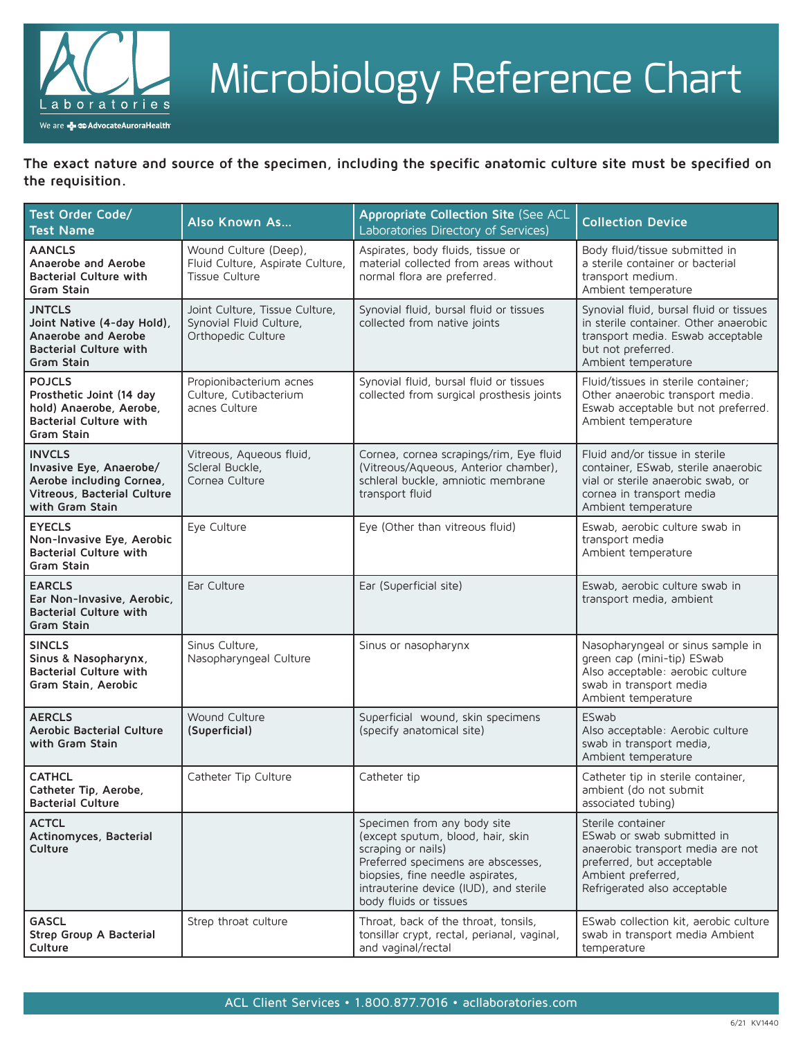

# Microbiology Reference Chart

**The exact nature and source of the specimen, including the specific anatomic culture site must be specified on the requisition.**

| Test Order Code/<br><b>Test Name</b>                                                                                   | <b>Also Known As</b>                                                            | Appropriate Collection Site (See ACL<br>Laboratories Directory of Services)                                                                                                                                                          | <b>Collection Device</b>                                                                                                                                                |
|------------------------------------------------------------------------------------------------------------------------|---------------------------------------------------------------------------------|--------------------------------------------------------------------------------------------------------------------------------------------------------------------------------------------------------------------------------------|-------------------------------------------------------------------------------------------------------------------------------------------------------------------------|
| <b>AANCLS</b><br>Anaerobe and Aerobe<br><b>Bacterial Culture with</b><br>Gram Stain                                    | Wound Culture (Deep),<br>Fluid Culture, Aspirate Culture,<br>Tissue Culture     | Aspirates, body fluids, tissue or<br>material collected from areas without<br>normal flora are preferred.                                                                                                                            | Body fluid/tissue submitted in<br>a sterile container or bacterial<br>transport medium.<br>Ambient temperature                                                          |
| <b>JNTCLS</b><br>Joint Native (4-day Hold),<br>Anaerobe and Aerobe<br><b>Bacterial Culture with</b><br>Gram Stain      | Joint Culture, Tissue Culture,<br>Synovial Fluid Culture,<br>Orthopedic Culture | Synovial fluid, bursal fluid or tissues<br>collected from native joints                                                                                                                                                              | Synovial fluid, bursal fluid or tissues<br>in sterile container. Other anaerobic<br>transport media. Eswab acceptable<br>but not preferred.<br>Ambient temperature      |
| <b>POJCLS</b><br>Prosthetic Joint (14 day<br>hold) Anaerobe, Aerobe,<br><b>Bacterial Culture with</b><br>Gram Stain    | Propionibacterium acnes<br>Culture, Cutibacterium<br>acnes Culture              | Synovial fluid, bursal fluid or tissues<br>collected from surgical prosthesis joints                                                                                                                                                 | Fluid/tissues in sterile container;<br>Other anaerobic transport media.<br>Eswab acceptable but not preferred.<br>Ambient temperature                                   |
| <b>INVCLS</b><br>Invasive Eye, Anaerobe/<br>Aerobe including Cornea,<br>Vitreous, Bacterial Culture<br>with Gram Stain | Vitreous, Aqueous fluid,<br>Scleral Buckle,<br>Cornea Culture                   | Cornea, cornea scrapings/rim, Eye fluid<br>(Vitreous/Aqueous, Anterior chamber),<br>schleral buckle, amniotic membrane<br>transport fluid                                                                                            | Fluid and/or tissue in sterile<br>container, ESwab, sterile anaerobic<br>vial or sterile anaerobic swab, or<br>cornea in transport media<br>Ambient temperature         |
| <b>EYECLS</b><br>Non-Invasive Eye, Aerobic<br><b>Bacterial Culture with</b><br>Gram Stain                              | Eye Culture                                                                     | Eye (Other than vitreous fluid)                                                                                                                                                                                                      | Eswab, aerobic culture swab in<br>transport media<br>Ambient temperature                                                                                                |
| <b>EARCLS</b><br>Ear Non-Invasive, Aerobic,<br><b>Bacterial Culture with</b><br>Gram Stain                             | Ear Culture                                                                     | Ear (Superficial site)                                                                                                                                                                                                               | Eswab, aerobic culture swab in<br>transport media, ambient                                                                                                              |
| <b>SINCLS</b><br>Sinus & Nasopharynx,<br><b>Bacterial Culture with</b><br>Gram Stain, Aerobic                          | Sinus Culture,<br>Nasopharyngeal Culture                                        | Sinus or nasopharynx                                                                                                                                                                                                                 | Nasopharyngeal or sinus sample in<br>green cap (mini-tip) ESwab<br>Also acceptable: aerobic culture<br>swab in transport media<br>Ambient temperature                   |
| <b>AERCLS</b><br><b>Aerobic Bacterial Culture</b><br>with Gram Stain                                                   | Wound Culture<br>(Superficial)                                                  | Superficial wound, skin specimens<br>(specify anatomical site)                                                                                                                                                                       | ESwab<br>Also acceptable: Aerobic culture<br>swab in transport media,<br>Ambient temperature                                                                            |
| <b>CATHCL</b><br>Catheter Tip, Aerobe,<br><b>Bacterial Culture</b>                                                     | Catheter Tip Culture                                                            | Catheter tip                                                                                                                                                                                                                         | Catheter tip in sterile container,<br>ambient (do not submit<br>associated tubing)                                                                                      |
| <b>ACTCL</b><br>Actinomyces, Bacterial<br>Culture                                                                      |                                                                                 | Specimen from any body site<br>(except sputum, blood, hair, skin<br>scraping or nails)<br>Preferred specimens are abscesses,<br>biopsies, fine needle aspirates,<br>intrauterine device (IUD), and sterile<br>body fluids or tissues | Sterile container<br>ESwab or swab submitted in<br>anaerobic transport media are not<br>preferred, but acceptable<br>Ambient preferred,<br>Refrigerated also acceptable |
| <b>GASCL</b><br>Strep Group A Bacterial<br>Culture                                                                     | Strep throat culture                                                            | Throat, back of the throat, tonsils,<br>tonsillar crypt, rectal, perianal, vaginal,<br>and vaginal/rectal                                                                                                                            | ESwab collection kit, aerobic culture<br>swab in transport media Ambient<br>temperature                                                                                 |

### ACL Client Services • 1.800.877.7016 • acllaboratories.com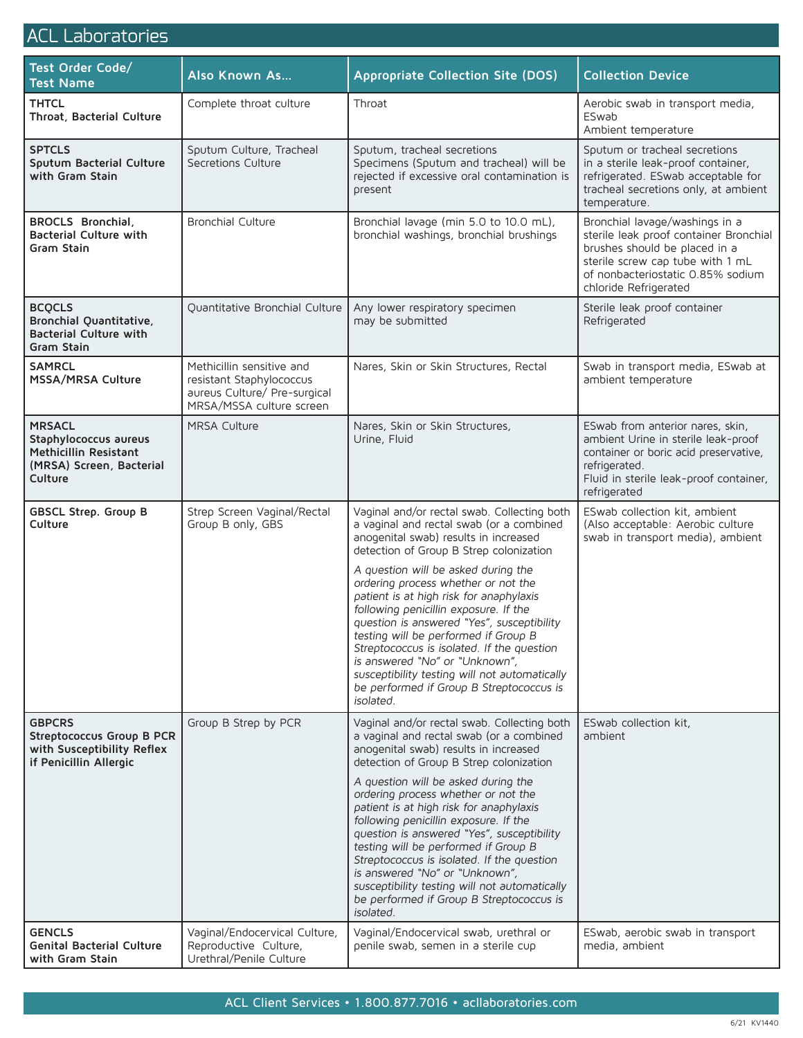## ACL Laboratories

| Test Order Code/<br><b>Test Name</b>                                                                   | <b>Also Known As</b>                                                                                              | Appropriate Collection Site (DOS)                                                                                                                                                                                                                                                                                                                                                                                                                                                                                                                                                                                             | <b>Collection Device</b>                                                                                                                                                                                    |
|--------------------------------------------------------------------------------------------------------|-------------------------------------------------------------------------------------------------------------------|-------------------------------------------------------------------------------------------------------------------------------------------------------------------------------------------------------------------------------------------------------------------------------------------------------------------------------------------------------------------------------------------------------------------------------------------------------------------------------------------------------------------------------------------------------------------------------------------------------------------------------|-------------------------------------------------------------------------------------------------------------------------------------------------------------------------------------------------------------|
| <b>THTCL</b><br>Throat, Bacterial Culture                                                              | Complete throat culture                                                                                           | Throat                                                                                                                                                                                                                                                                                                                                                                                                                                                                                                                                                                                                                        | Aerobic swab in transport media,<br>ESwab<br>Ambient temperature                                                                                                                                            |
| <b>SPTCLS</b><br>Sputum Bacterial Culture<br>with Gram Stain                                           | Sputum Culture, Tracheal<br>Secretions Culture                                                                    | Sputum, tracheal secretions<br>Specimens (Sputum and tracheal) will be<br>rejected if excessive oral contamination is<br>present                                                                                                                                                                                                                                                                                                                                                                                                                                                                                              | Sputum or tracheal secretions<br>in a sterile leak-proof container,<br>refrigerated. ESwab acceptable for<br>tracheal secretions only, at ambient<br>temperature.                                           |
| <b>BROCLS Bronchial,</b><br><b>Bacterial Culture with</b><br>Gram Stain                                | <b>Bronchial Culture</b>                                                                                          | Bronchial lavage (min 5.0 to 10.0 mL),<br>bronchial washings, bronchial brushings                                                                                                                                                                                                                                                                                                                                                                                                                                                                                                                                             | Bronchial lavage/washings in a<br>sterile leak proof container Bronchial<br>brushes should be placed in a<br>sterile screw cap tube with 1 mL<br>of nonbacteriostatic 0.85% sodium<br>chloride Refrigerated |
| <b>BCQCLS</b><br>Bronchial Quantitative,<br><b>Bacterial Culture with</b><br>Gram Stain                | Quantitative Bronchial Culture                                                                                    | Any lower respiratory specimen<br>may be submitted                                                                                                                                                                                                                                                                                                                                                                                                                                                                                                                                                                            | Sterile leak proof container<br>Refrigerated                                                                                                                                                                |
| <b>SAMRCL</b><br>MSSA/MRSA Culture                                                                     | Methicillin sensitive and<br>resistant Staphylococcus<br>aureus Culture/ Pre-surgical<br>MRSA/MSSA culture screen | Nares, Skin or Skin Structures, Rectal                                                                                                                                                                                                                                                                                                                                                                                                                                                                                                                                                                                        | Swab in transport media, ESwab at<br>ambient temperature                                                                                                                                                    |
| <b>MRSACL</b><br>Staphylococcus aureus<br>Methicillin Resistant<br>(MRSA) Screen, Bacterial<br>Culture | <b>MRSA Culture</b>                                                                                               | Nares, Skin or Skin Structures,<br>Urine, Fluid                                                                                                                                                                                                                                                                                                                                                                                                                                                                                                                                                                               | ESwab from anterior nares, skin,<br>ambient Urine in sterile leak-proof<br>container or boric acid preservative,<br>refrigerated.<br>Fluid in sterile leak-proof container,<br>refrigerated                 |
| <b>GBSCL Strep. Group B</b><br>Culture                                                                 | Strep Screen Vaginal/Rectal<br>Group B only, GBS                                                                  | Vaginal and/or rectal swab. Collecting both<br>a vaginal and rectal swab (or a combined<br>anogenital swab) results in increased<br>detection of Group B Strep colonization<br>A question will be asked during the<br>ordering process whether or not the<br>patient is at high risk for anaphylaxis<br>following penicillin exposure. If the<br>question is answered "Yes", susceptibility<br>testing will be performed if Group B<br>Streptococcus is isolated. If the question<br>is answered "No" or "Unknown",<br>susceptibility testing will not automatically<br>be performed if Group B Streptococcus is<br>isolated. | ESwab collection kit, ambient<br>(Also acceptable: Aerobic culture<br>swab in transport media), ambient                                                                                                     |
| <b>GBPCRS</b><br>Streptococcus Group B PCR<br>with Susceptibility Reflex<br>if Penicillin Allergic     | Group B Strep by PCR                                                                                              | Vaginal and/or rectal swab. Collecting both<br>a vaginal and rectal swab (or a combined<br>anogenital swab) results in increased<br>detection of Group B Strep colonization<br>A question will be asked during the<br>ordering process whether or not the<br>patient is at high risk for anaphylaxis<br>following penicillin exposure. If the<br>question is answered "Yes", susceptibility<br>testing will be performed if Group B<br>Streptococcus is isolated. If the question<br>is answered "No" or "Unknown",<br>susceptibility testing will not automatically<br>be performed if Group B Streptococcus is<br>isolated. | ESwab collection kit.<br>ambient                                                                                                                                                                            |
| <b>GENCLS</b><br><b>Genital Bacterial Culture</b><br>with Gram Stain                                   | Vaginal/Endocervical Culture,<br>Reproductive Culture,<br>Urethral/Penile Culture                                 | Vaginal/Endocervical swab, urethral or<br>penile swab, semen in a sterile cup                                                                                                                                                                                                                                                                                                                                                                                                                                                                                                                                                 | ESwab, aerobic swab in transport<br>media, ambient                                                                                                                                                          |

## ACL Client Services • 1.800.877.7016 • acllaboratories.com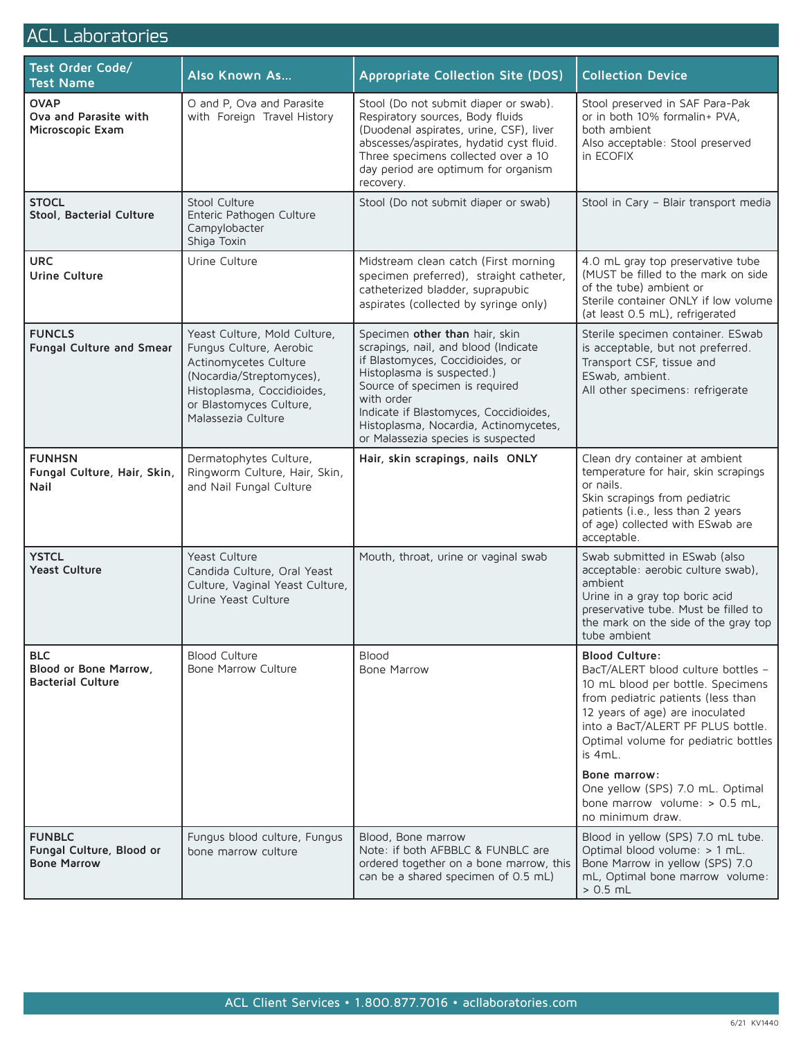## ACL Laboratories

| Test Order Code/<br><b>Test Name</b>                            | <b>Also Known As</b>                                                                                                                                                                        | <b>Appropriate Collection Site (DOS)</b>                                                                                                                                                                                                                                                                          | <b>Collection Device</b>                                                                                                                                                                                                                                                                                              |
|-----------------------------------------------------------------|---------------------------------------------------------------------------------------------------------------------------------------------------------------------------------------------|-------------------------------------------------------------------------------------------------------------------------------------------------------------------------------------------------------------------------------------------------------------------------------------------------------------------|-----------------------------------------------------------------------------------------------------------------------------------------------------------------------------------------------------------------------------------------------------------------------------------------------------------------------|
| <b>OVAP</b><br>Ova and Parasite with<br>Microscopic Exam        | O and P, Ova and Parasite<br>with Foreign Travel History                                                                                                                                    | Stool (Do not submit diaper or swab).<br>Respiratory sources, Body fluids<br>(Duodenal aspirates, urine, CSF), liver<br>abscesses/aspirates, hydatid cyst fluid.<br>Three specimens collected over a 10<br>day period are optimum for organism<br>recovery.                                                       | Stool preserved in SAF Para-Pak<br>or in both 10% formalin+ PVA,<br>both ambient<br>Also acceptable: Stool preserved<br>in ECOFIX                                                                                                                                                                                     |
| <b>STOCL</b><br>Stool, Bacterial Culture                        | Stool Culture<br>Enteric Pathogen Culture<br>Campylobacter<br>Shiga Toxin                                                                                                                   | Stool (Do not submit diaper or swab)                                                                                                                                                                                                                                                                              | Stool in Cary - Blair transport media                                                                                                                                                                                                                                                                                 |
| <b>URC</b><br><b>Urine Culture</b>                              | Urine Culture                                                                                                                                                                               | Midstream clean catch (First morning<br>specimen preferred), straight catheter,<br>catheterized bladder, suprapubic<br>aspirates (collected by syringe only)                                                                                                                                                      | 4.0 mL gray top preservative tube<br>(MUST be filled to the mark on side<br>of the tube) ambient or<br>Sterile container ONLY if low volume<br>(at least 0.5 mL), refrigerated                                                                                                                                        |
| <b>FUNCLS</b><br>Fungal Culture and Smear                       | Yeast Culture, Mold Culture,<br>Fungus Culture, Aerobic<br>Actinomycetes Culture<br>(Nocardia/Streptomyces),<br>Histoplasma, Coccidioides,<br>or Blastomyces Culture,<br>Malassezia Culture | Specimen other than hair, skin<br>scrapings, nail, and blood (Indicate<br>if Blastomyces, Coccidioides, or<br>Histoplasma is suspected.)<br>Source of specimen is required<br>with order<br>Indicate if Blastomyces, Coccidioides,<br>Histoplasma, Nocardia, Actinomycetes,<br>or Malassezia species is suspected | Sterile specimen container. ESwab<br>is acceptable, but not preferred.<br>Transport CSF, tissue and<br>ESwab, ambient.<br>All other specimens: refrigerate                                                                                                                                                            |
| <b>FUNHSN</b><br>Fungal Culture, Hair, Skin,<br>Nail            | Dermatophytes Culture,<br>Ringworm Culture, Hair, Skin,<br>and Nail Fungal Culture                                                                                                          | Hair, skin scrapings, nails ONLY                                                                                                                                                                                                                                                                                  | Clean dry container at ambient<br>temperature for hair, skin scrapings<br>or nails.<br>Skin scrapings from pediatric<br>patients (i.e., less than 2 years<br>of age) collected with ESwab are<br>acceptable.                                                                                                          |
| <b>YSTCL</b><br><b>Yeast Culture</b>                            | Yeast Culture<br>Candida Culture, Oral Yeast<br>Culture, Vaginal Yeast Culture,<br>Urine Yeast Culture                                                                                      | Mouth, throat, urine or vaginal swab                                                                                                                                                                                                                                                                              | Swab submitted in ESwab (also<br>acceptable: aerobic culture swab),<br>ambient<br>Urine in a gray top boric acid<br>preservative tube. Must be filled to<br>the mark on the side of the gray top<br>tube ambient                                                                                                      |
| <b>BLC</b><br>Blood or Bone Marrow,<br><b>Bacterial Culture</b> | <b>Blood Culture</b><br><b>Bone Marrow Culture</b>                                                                                                                                          | <b>Blood</b><br>Bone Marrow                                                                                                                                                                                                                                                                                       | <b>Blood Culture:</b><br>BacT/ALERT blood culture bottles -<br>10 mL blood per bottle. Specimens<br>from pediatric patients (less than<br>12 years of age) are inoculated<br>into a BacT/ALERT PF PLUS bottle.<br>Optimal volume for pediatric bottles<br>is 4mL.<br>Bone marrow:<br>One yellow (SPS) 7.0 mL. Optimal |
| <b>FUNBLC</b><br>Fungal Culture, Blood or<br><b>Bone Marrow</b> | Fungus blood culture, Fungus<br>bone marrow culture                                                                                                                                         | Blood, Bone marrow<br>Note: if both AFBBLC & FUNBLC are<br>ordered together on a bone marrow, this<br>can be a shared specimen of 0.5 mL)                                                                                                                                                                         | bone marrow volume: $> 0.5$ mL,<br>no minimum draw.<br>Blood in yellow (SPS) 7.0 mL tube.<br>Optimal blood volume: > 1 mL.<br>Bone Marrow in yellow (SPS) 7.0<br>mL, Optimal bone marrow volume:<br>$> 0.5$ mL                                                                                                        |